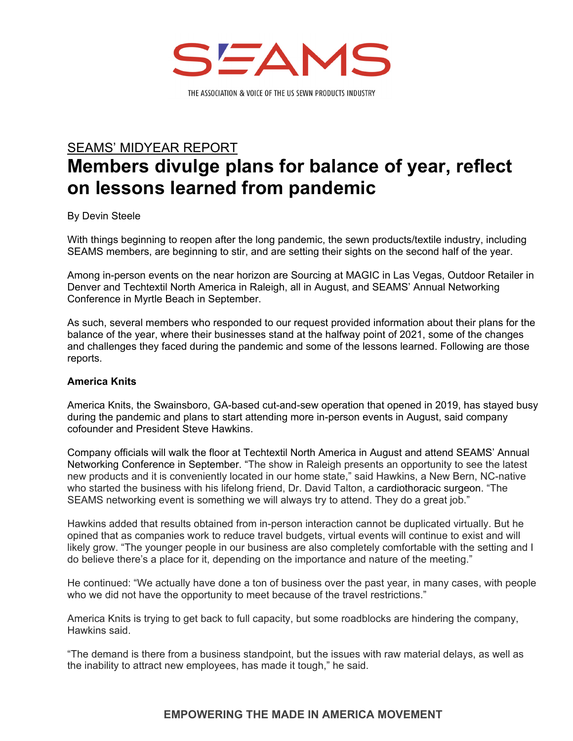

# SEAMS' MIDYEAR REPORT **Members divulge plans for balance of year, reflect on lessons learned from pandemic**

By Devin Steele

With things beginning to reopen after the long pandemic, the sewn products/textile industry, including SEAMS members, are beginning to stir, and are setting their sights on the second half of the year.

Among in-person events on the near horizon are Sourcing at MAGIC in Las Vegas, Outdoor Retailer in Denver and Techtextil North America in Raleigh, all in August, and SEAMS' Annual Networking Conference in Myrtle Beach in September.

As such, several members who responded to our request provided information about their plans for the balance of the year, where their businesses stand at the halfway point of 2021, some of the changes and challenges they faced during the pandemic and some of the lessons learned. Following are those reports.

## **America Knits**

America Knits, the Swainsboro, GA-based cut-and-sew operation that opened in 2019, has stayed busy during the pandemic and plans to start attending more in-person events in August, said company cofounder and President Steve Hawkins.

Company officials will walk the floor at Techtextil North America in August and attend SEAMS' Annual Networking Conference in September. "The show in Raleigh presents an opportunity to see the latest new products and it is conveniently located in our home state," said Hawkins, a New Bern, NC-native who started the business with his lifelong friend, Dr. David Talton, a cardiothoracic surgeon. "The SEAMS networking event is something we will always try to attend. They do a great job."

Hawkins added that results obtained from in-person interaction cannot be duplicated virtually. But he opined that as companies work to reduce travel budgets, virtual events will continue to exist and will likely grow. "The younger people in our business are also completely comfortable with the setting and I do believe there's a place for it, depending on the importance and nature of the meeting."

He continued: "We actually have done a ton of business over the past year, in many cases, with people who we did not have the opportunity to meet because of the travel restrictions."

America Knits is trying to get back to full capacity, but some roadblocks are hindering the company, Hawkins said.

"The demand is there from a business standpoint, but the issues with raw material delays, as well as the inability to attract new employees, has made it tough," he said.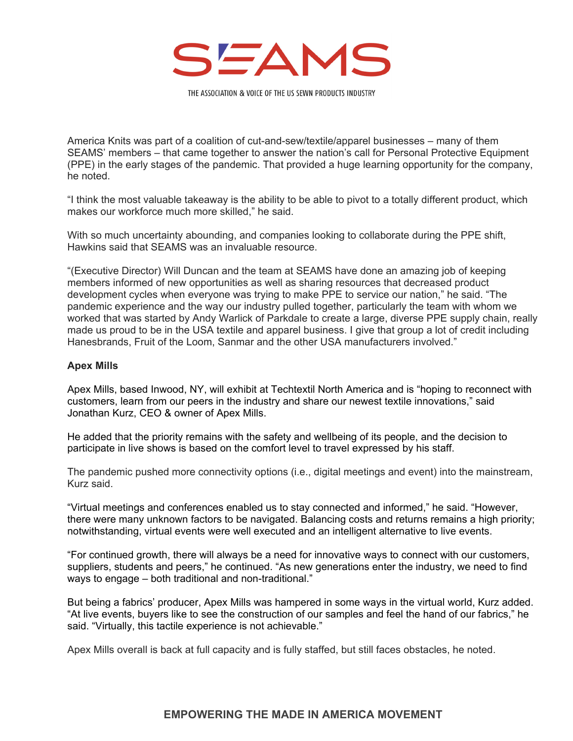

America Knits was part of a coalition of cut-and-sew/textile/apparel businesses – many of them SEAMS' members – that came together to answer the nation's call for Personal Protective Equipment (PPE) in the early stages of the pandemic. That provided a huge learning opportunity for the company, he noted.

"I think the most valuable takeaway is the ability to be able to pivot to a totally different product, which makes our workforce much more skilled," he said.

With so much uncertainty abounding, and companies looking to collaborate during the PPE shift, Hawkins said that SEAMS was an invaluable resource.

"(Executive Director) Will Duncan and the team at SEAMS have done an amazing job of keeping members informed of new opportunities as well as sharing resources that decreased product development cycles when everyone was trying to make PPE to service our nation," he said. "The pandemic experience and the way our industry pulled together, particularly the team with whom we worked that was started by Andy Warlick of Parkdale to create a large, diverse PPE supply chain, really made us proud to be in the USA textile and apparel business. I give that group a lot of credit including Hanesbrands, Fruit of the Loom, Sanmar and the other USA manufacturers involved."

#### **Apex Mills**

Apex Mills, based Inwood, NY, will exhibit at Techtextil North America and is "hoping to reconnect with customers, learn from our peers in the industry and share our newest textile innovations," said Jonathan Kurz, CEO & owner of Apex Mills.

He added that the priority remains with the safety and wellbeing of its people, and the decision to participate in live shows is based on the comfort level to travel expressed by his staff.

The pandemic pushed more connectivity options (i.e., digital meetings and event) into the mainstream, Kurz said.

"Virtual meetings and conferences enabled us to stay connected and informed," he said. "However, there were many unknown factors to be navigated. Balancing costs and returns remains a high priority; notwithstanding, virtual events were well executed and an intelligent alternative to live events.

"For continued growth, there will always be a need for innovative ways to connect with our customers, suppliers, students and peers," he continued. "As new generations enter the industry, we need to find ways to engage – both traditional and non-traditional."

But being a fabrics' producer, Apex Mills was hampered in some ways in the virtual world, Kurz added. "At live events, buyers like to see the construction of our samples and feel the hand of our fabrics," he said. "Virtually, this tactile experience is not achievable."

Apex Mills overall is back at full capacity and is fully staffed, but still faces obstacles, he noted.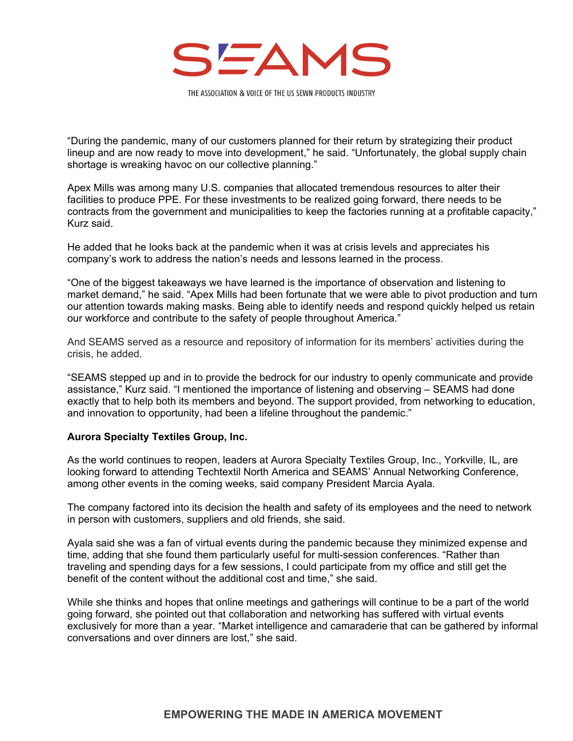

"During the pandemic, many of our customers planned for their return by strategizing their product lineup and are now ready to move into development," he said. "Unfortunately, the global supply chain shortage is wreaking havoc on our collective planning."

Apex Mills was among many U.S. companies that allocated tremendous resources to alter their facilities to produce PPE. For these investments to be realized going forward, there needs to be contracts from the government and municipalities to keep the factories running at a profitable capacity," Kurz said.

He added that he looks back at the pandemic when it was at crisis levels and appreciates his company's work to address the nation's needs and lessons learned in the process.

"One of the biggest takeaways we have learned is the importance of observation and listening to market demand," he said. "Apex Mills had been fortunate that we were able to pivot production and turn our attention towards making masks. Being able to identify needs and respond quickly helped us retain our workforce and contribute to the safety of people throughout America."

And SEAMS served as a resource and repository of information for its members' activities during the crisis, he added.

"SEAMS stepped up and in to provide the bedrock for our industry to openly communicate and provide assistance," Kurz said. "I mentioned the importance of listening and observing – SEAMS had done exactly that to help both its members and beyond. The support provided, from networking to education, and innovation to opportunity, had been a lifeline throughout the pandemic."

#### **Aurora Specialty Textiles Group, Inc.**

As the world continues to reopen, leaders at Aurora Specialty Textiles Group, Inc., Yorkville, IL, are looking forward to attending Techtextil North America and SEAMS' Annual Networking Conference, among other events in the coming weeks, said company President Marcia Ayala.

The company factored into its decision the health and safety of its employees and the need to network in person with customers, suppliers and old friends, she said.

Ayala said she was a fan of virtual events during the pandemic because they minimized expense and time, adding that she found them particularly useful for multi-session conferences. "Rather than traveling and spending days for a few sessions, I could participate from my office and still get the benefit of the content without the additional cost and time," she said.

While she thinks and hopes that online meetings and gatherings will continue to be a part of the world going forward, she pointed out that collaboration and networking has suffered with virtual events exclusively for more than a year. "Market intelligence and camaraderie that can be gathered by informal conversations and over dinners are lost," she said.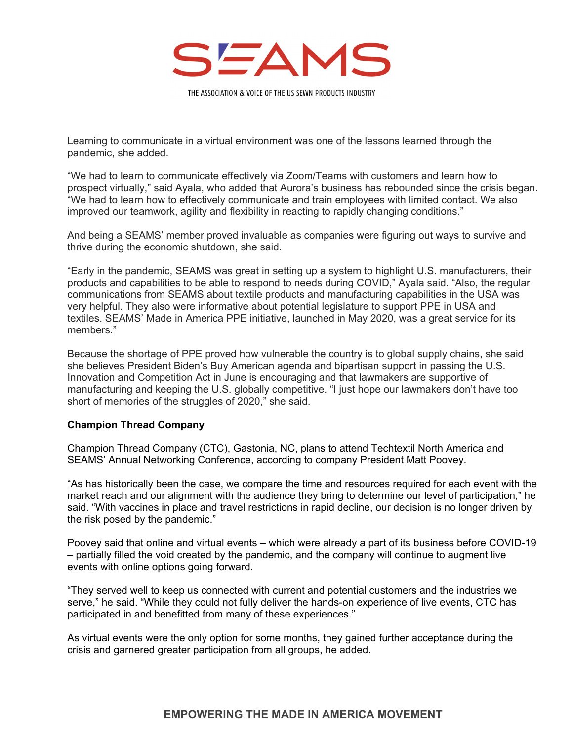

Learning to communicate in a virtual environment was one of the lessons learned through the pandemic, she added.

"We had to learn to communicate effectively via Zoom/Teams with customers and learn how to prospect virtually," said Ayala, who added that Aurora's business has rebounded since the crisis began. "We had to learn how to effectively communicate and train employees with limited contact. We also improved our teamwork, agility and flexibility in reacting to rapidly changing conditions."

And being a SEAMS' member proved invaluable as companies were figuring out ways to survive and thrive during the economic shutdown, she said.

"Early in the pandemic, SEAMS was great in setting up a system to highlight U.S. manufacturers, their products and capabilities to be able to respond to needs during COVID," Ayala said. "Also, the regular communications from SEAMS about textile products and manufacturing capabilities in the USA was very helpful. They also were informative about potential legislature to support PPE in USA and textiles. SEAMS' Made in America PPE initiative, launched in May 2020, was a great service for its members."

Because the shortage of PPE proved how vulnerable the country is to global supply chains, she said she believes President Biden's Buy American agenda and bipartisan support in passing the U.S. Innovation and Competition Act in June is encouraging and that lawmakers are supportive of manufacturing and keeping the U.S. globally competitive. "I just hope our lawmakers don't have too short of memories of the struggles of 2020," she said.

#### **Champion Thread Company**

Champion Thread Company (CTC), Gastonia, NC, plans to attend Techtextil North America and SEAMS' Annual Networking Conference, according to company President Matt Poovey.

"As has historically been the case, we compare the time and resources required for each event with the market reach and our alignment with the audience they bring to determine our level of participation," he said. "With vaccines in place and travel restrictions in rapid decline, our decision is no longer driven by the risk posed by the pandemic."

Poovey said that online and virtual events – which were already a part of its business before COVID-19 – partially filled the void created by the pandemic, and the company will continue to augment live events with online options going forward.

"They served well to keep us connected with current and potential customers and the industries we serve," he said. "While they could not fully deliver the hands-on experience of live events, CTC has participated in and benefitted from many of these experiences."

As virtual events were the only option for some months, they gained further acceptance during the crisis and garnered greater participation from all groups, he added.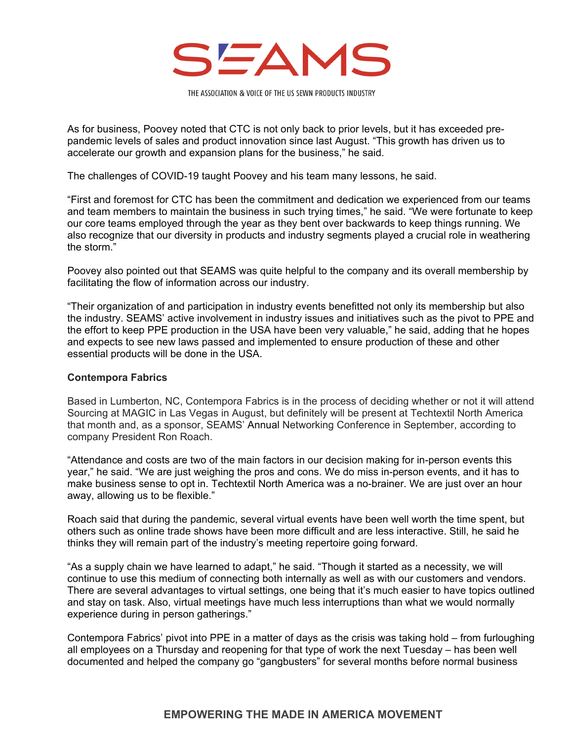

As for business, Poovey noted that CTC is not only back to prior levels, but it has exceeded prepandemic levels of sales and product innovation since last August. "This growth has driven us to accelerate our growth and expansion plans for the business," he said.

The challenges of COVID-19 taught Poovey and his team many lessons, he said.

"First and foremost for CTC has been the commitment and dedication we experienced from our teams and team members to maintain the business in such trying times," he said. "We were fortunate to keep our core teams employed through the year as they bent over backwards to keep things running. We also recognize that our diversity in products and industry segments played a crucial role in weathering the storm."

Poovey also pointed out that SEAMS was quite helpful to the company and its overall membership by facilitating the flow of information across our industry.

"Their organization of and participation in industry events benefitted not only its membership but also the industry. SEAMS' active involvement in industry issues and initiatives such as the pivot to PPE and the effort to keep PPE production in the USA have been very valuable," he said, adding that he hopes and expects to see new laws passed and implemented to ensure production of these and other essential products will be done in the USA.

#### **Contempora Fabrics**

Based in Lumberton, NC, Contempora Fabrics is in the process of deciding whether or not it will attend Sourcing at MAGIC in Las Vegas in August, but definitely will be present at Techtextil North America that month and, as a sponsor, SEAMS' Annual Networking Conference in September, according to company President Ron Roach.

"Attendance and costs are two of the main factors in our decision making for in-person events this year," he said. "We are just weighing the pros and cons. We do miss in-person events, and it has to make business sense to opt in. Techtextil North America was a no-brainer. We are just over an hour away, allowing us to be flexible."

Roach said that during the pandemic, several virtual events have been well worth the time spent, but others such as online trade shows have been more difficult and are less interactive. Still, he said he thinks they will remain part of the industry's meeting repertoire going forward.

"As a supply chain we have learned to adapt," he said. "Though it started as a necessity, we will continue to use this medium of connecting both internally as well as with our customers and vendors. There are several advantages to virtual settings, one being that it's much easier to have topics outlined and stay on task. Also, virtual meetings have much less interruptions than what we would normally experience during in person gatherings."

Contempora Fabrics' pivot into PPE in a matter of days as the crisis was taking hold – from furloughing all employees on a Thursday and reopening for that type of work the next Tuesday – has been well documented and helped the company go "gangbusters" for several months before normal business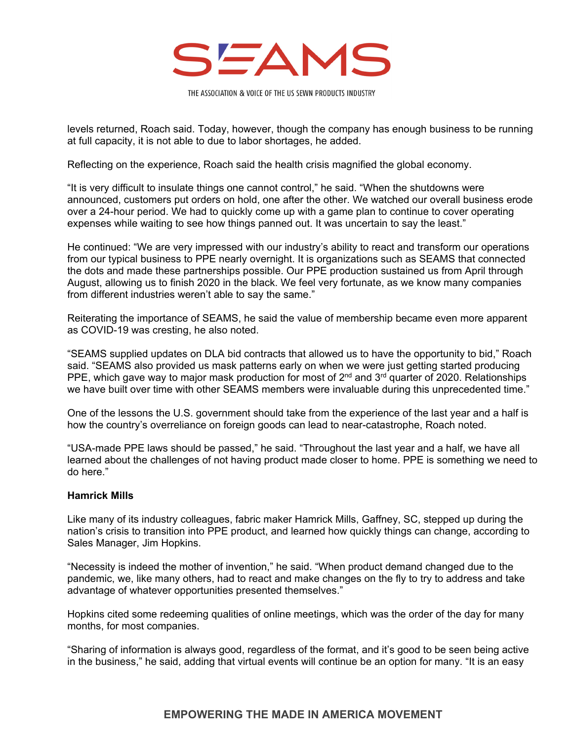

levels returned, Roach said. Today, however, though the company has enough business to be running at full capacity, it is not able to due to labor shortages, he added.

Reflecting on the experience, Roach said the health crisis magnified the global economy.

"It is very difficult to insulate things one cannot control," he said. "When the shutdowns were announced, customers put orders on hold, one after the other. We watched our overall business erode over a 24-hour period. We had to quickly come up with a game plan to continue to cover operating expenses while waiting to see how things panned out. It was uncertain to say the least."

He continued: "We are very impressed with our industry's ability to react and transform our operations from our typical business to PPE nearly overnight. It is organizations such as SEAMS that connected the dots and made these partnerships possible. Our PPE production sustained us from April through August, allowing us to finish 2020 in the black. We feel very fortunate, as we know many companies from different industries weren't able to say the same."

Reiterating the importance of SEAMS, he said the value of membership became even more apparent as COVID-19 was cresting, he also noted.

"SEAMS supplied updates on DLA bid contracts that allowed us to have the opportunity to bid," Roach said. "SEAMS also provided us mask patterns early on when we were just getting started producing PPE, which gave way to major mask production for most of  $2^{nd}$  and  $3^{rd}$  quarter of 2020. Relationships we have built over time with other SEAMS members were invaluable during this unprecedented time."

One of the lessons the U.S. government should take from the experience of the last year and a half is how the country's overreliance on foreign goods can lead to near-catastrophe, Roach noted.

"USA-made PPE laws should be passed," he said. "Throughout the last year and a half, we have all learned about the challenges of not having product made closer to home. PPE is something we need to do here."

#### **Hamrick Mills**

Like many of its industry colleagues, fabric maker Hamrick Mills, Gaffney, SC, stepped up during the nation's crisis to transition into PPE product, and learned how quickly things can change, according to Sales Manager, Jim Hopkins.

"Necessity is indeed the mother of invention," he said. "When product demand changed due to the pandemic, we, like many others, had to react and make changes on the fly to try to address and take advantage of whatever opportunities presented themselves."

Hopkins cited some redeeming qualities of online meetings, which was the order of the day for many months, for most companies.

"Sharing of information is always good, regardless of the format, and it's good to be seen being active in the business," he said, adding that virtual events will continue be an option for many. "It is an easy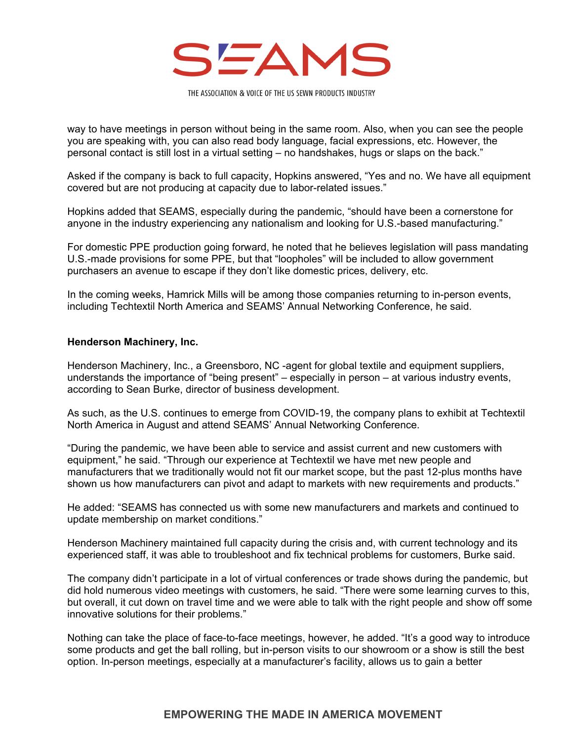

way to have meetings in person without being in the same room. Also, when you can see the people you are speaking with, you can also read body language, facial expressions, etc. However, the personal contact is still lost in a virtual setting – no handshakes, hugs or slaps on the back."

Asked if the company is back to full capacity, Hopkins answered, "Yes and no. We have all equipment covered but are not producing at capacity due to labor-related issues."

Hopkins added that SEAMS, especially during the pandemic, "should have been a cornerstone for anyone in the industry experiencing any nationalism and looking for U.S.-based manufacturing."

For domestic PPE production going forward, he noted that he believes legislation will pass mandating U.S.-made provisions for some PPE, but that "loopholes" will be included to allow government purchasers an avenue to escape if they don't like domestic prices, delivery, etc.

In the coming weeks, Hamrick Mills will be among those companies returning to in-person events, including Techtextil North America and SEAMS' Annual Networking Conference, he said.

#### **Henderson Machinery, Inc.**

Henderson Machinery, Inc., a Greensboro, NC -agent for global textile and equipment suppliers, understands the importance of "being present" – especially in person – at various industry events, according to Sean Burke, director of business development.

As such, as the U.S. continues to emerge from COVID-19, the company plans to exhibit at Techtextil North America in August and attend SEAMS' Annual Networking Conference.

"During the pandemic, we have been able to service and assist current and new customers with equipment," he said. "Through our experience at Techtextil we have met new people and manufacturers that we traditionally would not fit our market scope, but the past 12-plus months have shown us how manufacturers can pivot and adapt to markets with new requirements and products."

He added: "SEAMS has connected us with some new manufacturers and markets and continued to update membership on market conditions."

Henderson Machinery maintained full capacity during the crisis and, with current technology and its experienced staff, it was able to troubleshoot and fix technical problems for customers, Burke said.

The company didn't participate in a lot of virtual conferences or trade shows during the pandemic, but did hold numerous video meetings with customers, he said. "There were some learning curves to this, but overall, it cut down on travel time and we were able to talk with the right people and show off some innovative solutions for their problems."

Nothing can take the place of face-to-face meetings, however, he added. "It's a good way to introduce some products and get the ball rolling, but in-person visits to our showroom or a show is still the best option. In-person meetings, especially at a manufacturer's facility, allows us to gain a better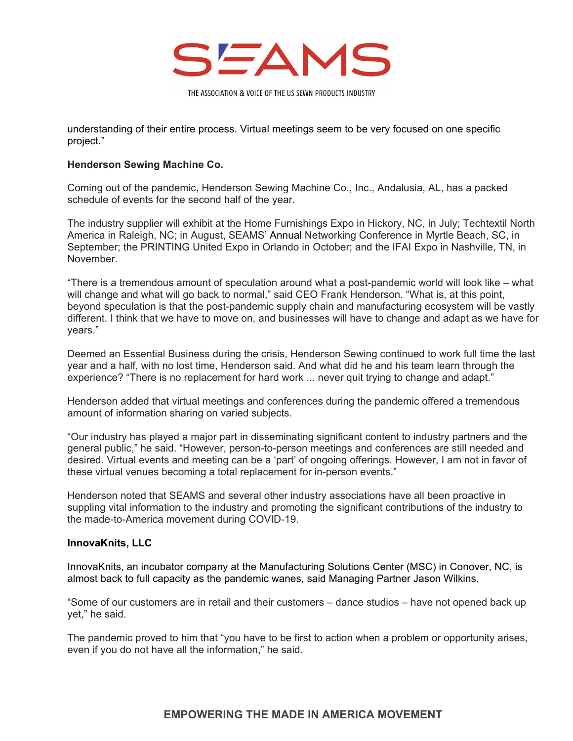

understanding of their entire process. Virtual meetings seem to be very focused on one specific project."

## **Henderson Sewing Machine Co.**

Coming out of the pandemic, Henderson Sewing Machine Co., Inc., Andalusia, AL, has a packed schedule of events for the second half of the year.

The industry supplier will exhibit at the Home Furnishings Expo in Hickory, NC, in July; Techtextil North America in Raleigh, NC; in August, SEAMS' Annual Networking Conference in Myrtle Beach, SC, in September; the PRINTING United Expo in Orlando in October; and the IFAI Expo in Nashville, TN, in November.

"There is a tremendous amount of speculation around what a post-pandemic world will look like – what will change and what will go back to normal," said CEO Frank Henderson. "What is, at this point, beyond speculation is that the post-pandemic supply chain and manufacturing ecosystem will be vastly different. I think that we have to move on, and businesses will have to change and adapt as we have for years."

Deemed an Essential Business during the crisis, Henderson Sewing continued to work full time the last year and a half, with no lost time, Henderson said. And what did he and his team learn through the experience? "There is no replacement for hard work ... never quit trying to change and adapt."

Henderson added that virtual meetings and conferences during the pandemic offered a tremendous amount of information sharing on varied subjects.

"Our industry has played a major part in disseminating significant content to industry partners and the general public," he said. "However, person-to-person meetings and conferences are still needed and desired. Virtual events and meeting can be a 'part' of ongoing offerings. However, I am not in favor of these virtual venues becoming a total replacement for in-person events."

Henderson noted that SEAMS and several other industry associations have all been proactive in suppling vital information to the industry and promoting the significant contributions of the industry to the made-to-America movement during COVID-19.

#### **InnovaKnits, LLC**

InnovaKnits, an incubator company at the Manufacturing Solutions Center (MSC) in Conover, NC, is almost back to full capacity as the pandemic wanes, said Managing Partner Jason Wilkins.

"Some of our customers are in retail and their customers – dance studios – have not opened back up yet," he said.

The pandemic proved to him that "you have to be first to action when a problem or opportunity arises, even if you do not have all the information," he said.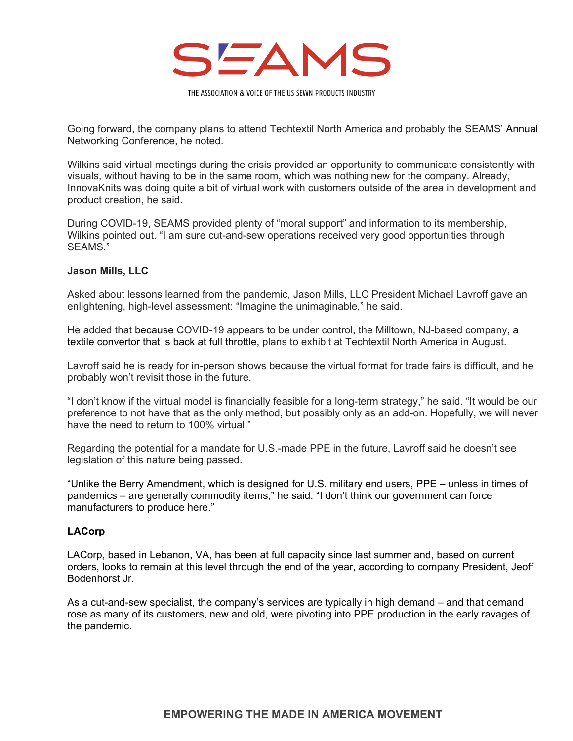

Going forward, the company plans to attend Techtextil North America and probably the SEAMS' Annual Networking Conference, he noted.

Wilkins said virtual meetings during the crisis provided an opportunity to communicate consistently with visuals, without having to be in the same room, which was nothing new for the company. Already, InnovaKnits was doing quite a bit of virtual work with customers outside of the area in development and product creation, he said.

During COVID-19, SEAMS provided plenty of "moral support" and information to its membership, Wilkins pointed out. "I am sure cut-and-sew operations received very good opportunities through SEAMS."

#### **Jason Mills, LLC**

Asked about lessons learned from the pandemic, Jason Mills, LLC President Michael Lavroff gave an enlightening, high-level assessment: "Imagine the unimaginable," he said.

He added that because COVID-19 appears to be under control, the Milltown, NJ-based company, a textile convertor that is back at full throttle, plans to exhibit at Techtextil North America in August.

Lavroff said he is ready for in-person shows because the virtual format for trade fairs is difficult, and he probably won't revisit those in the future.

"I don't know if the virtual model is financially feasible for a long-term strategy," he said. "It would be our preference to not have that as the only method, but possibly only as an add-on. Hopefully, we will never have the need to return to 100% virtual."

Regarding the potential for a mandate for U.S.-made PPE in the future, Lavroff said he doesn't see legislation of this nature being passed.

"Unlike the Berry Amendment, which is designed for U.S. military end users, PPE – unless in times of pandemics – are generally commodity items," he said. "I don't think our government can force manufacturers to produce here."

#### **LACorp**

LACorp, based in Lebanon, VA, has been at full capacity since last summer and, based on current orders, looks to remain at this level through the end of the year, according to company President, Jeoff Bodenhorst Jr.

As a cut-and-sew specialist, the company's services are typically in high demand – and that demand rose as many of its customers, new and old, were pivoting into PPE production in the early ravages of the pandemic.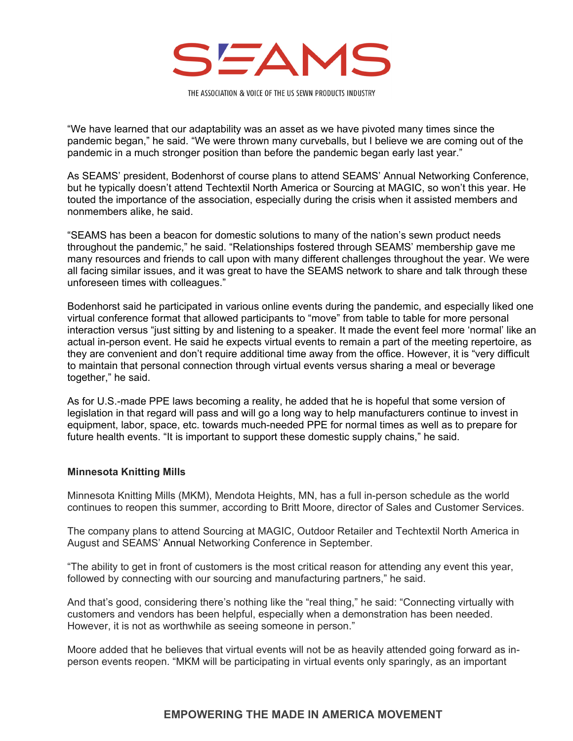

"We have learned that our adaptability was an asset as we have pivoted many times since the pandemic began," he said. "We were thrown many curveballs, but I believe we are coming out of the pandemic in a much stronger position than before the pandemic began early last year."

As SEAMS' president, Bodenhorst of course plans to attend SEAMS' Annual Networking Conference, but he typically doesn't attend Techtextil North America or Sourcing at MAGIC, so won't this year. He touted the importance of the association, especially during the crisis when it assisted members and nonmembers alike, he said.

"SEAMS has been a beacon for domestic solutions to many of the nation's sewn product needs throughout the pandemic," he said. "Relationships fostered through SEAMS' membership gave me many resources and friends to call upon with many different challenges throughout the year. We were all facing similar issues, and it was great to have the SEAMS network to share and talk through these unforeseen times with colleagues."

Bodenhorst said he participated in various online events during the pandemic, and especially liked one virtual conference format that allowed participants to "move" from table to table for more personal interaction versus "just sitting by and listening to a speaker. It made the event feel more 'normal' like an actual in-person event. He said he expects virtual events to remain a part of the meeting repertoire, as they are convenient and don't require additional time away from the office. However, it is "very difficult to maintain that personal connection through virtual events versus sharing a meal or beverage together," he said.

As for U.S.-made PPE laws becoming a reality, he added that he is hopeful that some version of legislation in that regard will pass and will go a long way to help manufacturers continue to invest in equipment, labor, space, etc. towards much-needed PPE for normal times as well as to prepare for future health events. "It is important to support these domestic supply chains," he said.

#### **Minnesota Knitting Mills**

Minnesota Knitting Mills (MKM), Mendota Heights, MN, has a full in-person schedule as the world continues to reopen this summer, according to Britt Moore, director of Sales and Customer Services.

The company plans to attend Sourcing at MAGIC, Outdoor Retailer and Techtextil North America in August and SEAMS' Annual Networking Conference in September.

"The ability to get in front of customers is the most critical reason for attending any event this year, followed by connecting with our sourcing and manufacturing partners," he said.

And that's good, considering there's nothing like the "real thing," he said: "Connecting virtually with customers and vendors has been helpful, especially when a demonstration has been needed. However, it is not as worthwhile as seeing someone in person."

Moore added that he believes that virtual events will not be as heavily attended going forward as inperson events reopen. "MKM will be participating in virtual events only sparingly, as an important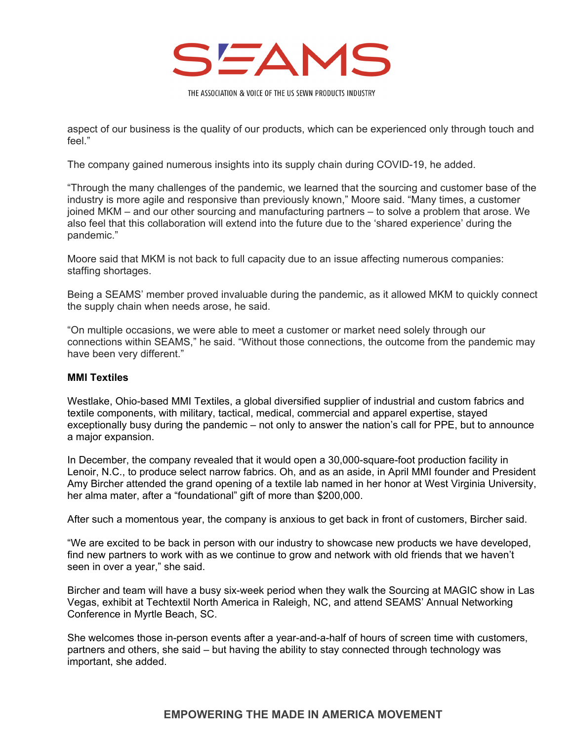

aspect of our business is the quality of our products, which can be experienced only through touch and feel."

The company gained numerous insights into its supply chain during COVID-19, he added.

"Through the many challenges of the pandemic, we learned that the sourcing and customer base of the industry is more agile and responsive than previously known," Moore said. "Many times, a customer joined MKM – and our other sourcing and manufacturing partners – to solve a problem that arose. We also feel that this collaboration will extend into the future due to the 'shared experience' during the pandemic."

Moore said that MKM is not back to full capacity due to an issue affecting numerous companies: staffing shortages.

Being a SEAMS' member proved invaluable during the pandemic, as it allowed MKM to quickly connect the supply chain when needs arose, he said.

"On multiple occasions, we were able to meet a customer or market need solely through our connections within SEAMS," he said. "Without those connections, the outcome from the pandemic may have been very different."

## **MMI Textiles**

Westlake, Ohio-based MMI Textiles, a global diversified supplier of industrial and custom fabrics and textile components, with military, tactical, medical, commercial and apparel expertise, stayed exceptionally busy during the pandemic – not only to answer the nation's call for PPE, but to announce a major expansion.

In December, the company revealed that it would open a 30,000-square-foot production facility in Lenoir, N.C., to produce select narrow fabrics. Oh, and as an aside, in April MMI founder and President Amy Bircher attended the grand opening of a textile lab named in her honor at West Virginia University, her alma mater, after a "foundational" gift of more than \$200,000.

After such a momentous year, the company is anxious to get back in front of customers, Bircher said.

"We are excited to be back in person with our industry to showcase new products we have developed, find new partners to work with as we continue to grow and network with old friends that we haven't seen in over a year," she said.

Bircher and team will have a busy six-week period when they walk the Sourcing at MAGIC show in Las Vegas, exhibit at Techtextil North America in Raleigh, NC, and attend SEAMS' Annual Networking Conference in Myrtle Beach, SC.

She welcomes those in-person events after a year-and-a-half of hours of screen time with customers, partners and others, she said – but having the ability to stay connected through technology was important, she added.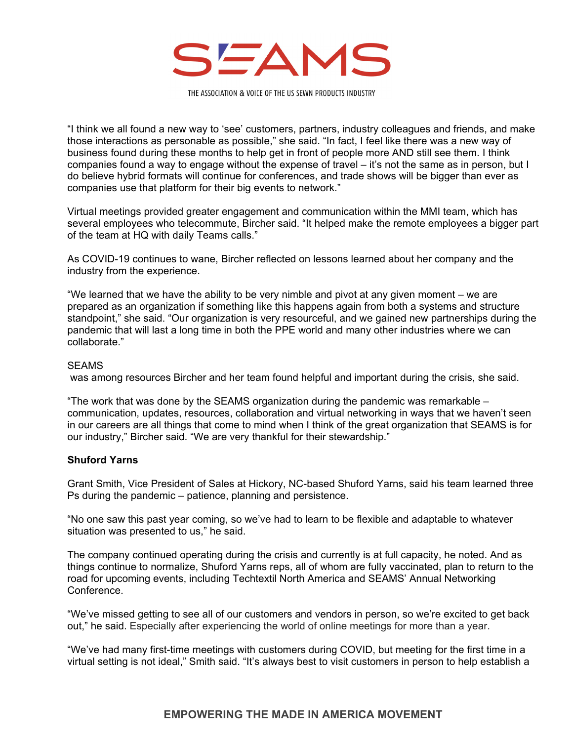

"I think we all found a new way to 'see' customers, partners, industry colleagues and friends, and make those interactions as personable as possible," she said. "In fact, I feel like there was a new way of business found during these months to help get in front of people more AND still see them. I think companies found a way to engage without the expense of travel – it's not the same as in person, but I do believe hybrid formats will continue for conferences, and trade shows will be bigger than ever as companies use that platform for their big events to network."

Virtual meetings provided greater engagement and communication within the MMI team, which has several employees who telecommute, Bircher said. "It helped make the remote employees a bigger part of the team at HQ with daily Teams calls."

As COVID-19 continues to wane, Bircher reflected on lessons learned about her company and the industry from the experience.

"We learned that we have the ability to be very nimble and pivot at any given moment – we are prepared as an organization if something like this happens again from both a systems and structure standpoint," she said. "Our organization is very resourceful, and we gained new partnerships during the pandemic that will last a long time in both the PPE world and many other industries where we can collaborate."

#### SEAMS

was among resources Bircher and her team found helpful and important during the crisis, she said.

"The work that was done by the SEAMS organization during the pandemic was remarkable – communication, updates, resources, collaboration and virtual networking in ways that we haven't seen in our careers are all things that come to mind when I think of the great organization that SEAMS is for our industry," Bircher said. "We are very thankful for their stewardship."

#### **Shuford Yarns**

Grant Smith, Vice President of Sales at Hickory, NC-based Shuford Yarns, said his team learned three Ps during the pandemic – patience, planning and persistence.

"No one saw this past year coming, so we've had to learn to be flexible and adaptable to whatever situation was presented to us," he said.

The company continued operating during the crisis and currently is at full capacity, he noted. And as things continue to normalize, Shuford Yarns reps, all of whom are fully vaccinated, plan to return to the road for upcoming events, including Techtextil North America and SEAMS' Annual Networking Conference.

"We've missed getting to see all of our customers and vendors in person, so we're excited to get back out," he said. Especially after experiencing the world of online meetings for more than a year.

"We've had many first-time meetings with customers during COVID, but meeting for the first time in a virtual setting is not ideal," Smith said. "It's always best to visit customers in person to help establish a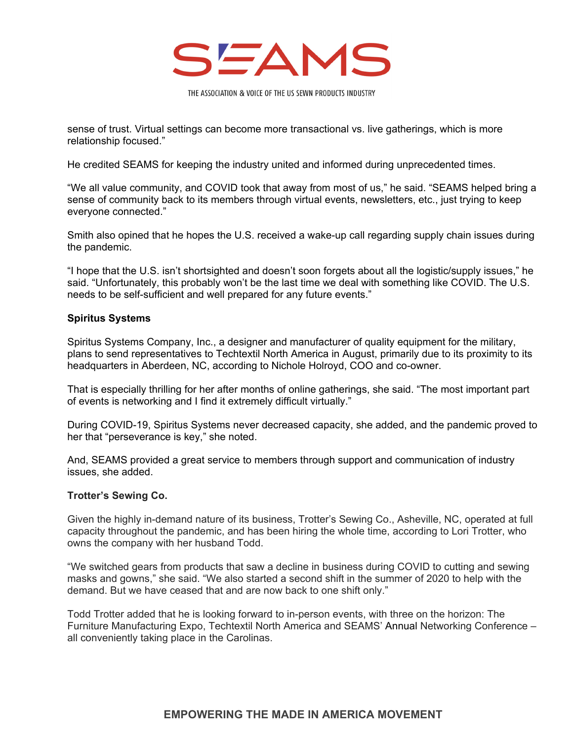

sense of trust. Virtual settings can become more transactional vs. live gatherings, which is more relationship focused."

He credited SEAMS for keeping the industry united and informed during unprecedented times.

"We all value community, and COVID took that away from most of us," he said. "SEAMS helped bring a sense of community back to its members through virtual events, newsletters, etc., just trying to keep everyone connected."

Smith also opined that he hopes the U.S. received a wake-up call regarding supply chain issues during the pandemic.

"I hope that the U.S. isn't shortsighted and doesn't soon forgets about all the logistic/supply issues," he said. "Unfortunately, this probably won't be the last time we deal with something like COVID. The U.S. needs to be self-sufficient and well prepared for any future events."

#### **Spiritus Systems**

Spiritus Systems Company, Inc., a designer and manufacturer of quality equipment for the military, plans to send representatives to Techtextil North America in August, primarily due to its proximity to its headquarters in Aberdeen, NC, according to Nichole Holroyd, COO and co-owner.

That is especially thrilling for her after months of online gatherings, she said. "The most important part of events is networking and I find it extremely difficult virtually."

During COVID-19, Spiritus Systems never decreased capacity, she added, and the pandemic proved to her that "perseverance is key," she noted.

And, SEAMS provided a great service to members through support and communication of industry issues, she added.

#### **Trotter's Sewing Co.**

Given the highly in-demand nature of its business, Trotter's Sewing Co., Asheville, NC, operated at full capacity throughout the pandemic, and has been hiring the whole time, according to Lori Trotter, who owns the company with her husband Todd.

"We switched gears from products that saw a decline in business during COVID to cutting and sewing masks and gowns," she said. "We also started a second shift in the summer of 2020 to help with the demand. But we have ceased that and are now back to one shift only."

Todd Trotter added that he is looking forward to in-person events, with three on the horizon: The Furniture Manufacturing Expo, Techtextil North America and SEAMS' Annual Networking Conference – all conveniently taking place in the Carolinas.